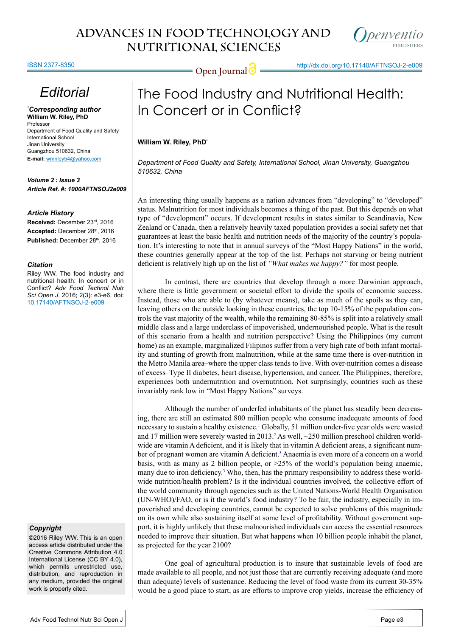

ISSN 2377-8350

## *Editorial*

*\* Corresponding author* **William W. Riley, PhD** Professor Department of Food Quality and Safety International School Jinan University Guangzhou 510632, China **E-mail:** wmriley54@yahoo.com

*Volume 2 : Issue 3 Article Ref. #: 1000AFTNSOJ2e009*

### *Article History*

**Received:** December 23rd, 2016 Accepted: December 28th, 2016 Published: December 28th, 2016

#### *Citation*

Riley WW. The food industry and nutritional health: In concert or in Conflict? *Adv Food Technol Nutr Sci Open J*. 2016; 2(3): e3-e6. doi: [10.17140/AFTNSOJ-2-e009](http://dx.doi.org/10.17140/AFTNSOJ-2-e009)

## *Copyright*

©2016 Riley WW. This is an open access article distributed under the Creative Commons Attribution 4.0 International License (CC BY 4.0), which permits unrestricted use, distribution, and reproduction in any medium, provided the original work is properly cited.

= Open Journal  $\bigcirc$  http://dx.doi.org/10.17140/AFTNSOJ-2-e009

# The Food Industry and Nutritional Health: In Concert or in Conflict?

## **William W. Riley, PhD\***

*Department of Food Quality and Safety, International School, Jinan University, Guangzhou 510632, China*

An interesting thing usually happens as a nation advances from "developing" to "developed" status. Malnutrition for most individuals becomes a thing of the past. But this depends on what type of "development" occurs. If development results in states similar to Scandinavia, New Zealand or Canada, then a relatively heavily taxed population provides a social safety net that guarantees at least the basic health and nutrition needs of the majority of the country's population. It's interesting to note that in annual surveys of the "Most Happy Nations" in the world, these countries generally appear at the top of the list. Perhaps not starving or being nutrient deficient is relatively high up on the list of *"What makes me happy?"* for most people.

In contrast, there are countries that develop through a more Darwinian approach, where there is little government or societal effort to divide the spoils of economic success. Instead, those who are able to (by whatever means), take as much of the spoils as they can, leaving others on the outside looking in these countries, the top 10-15% of the population controls the vast majority of the wealth, while the remaining 80-85% is split into a relatively small middle class and a large underclass of impoverished, undernourished people. What is the result of this scenario from a health and nutrition perspective? Using the Philippines (my current home) as an example, marginalized Filipinos suffer from a very high rate of both infant mortality and stunting of growth from malnutrition, while at the same time there is over-nutrition in the Metro Manila area–where the upper class tends to live. With over-nutrition comes a disease of excess–Type II diabetes, heart disease, hypertension, and cancer. The Philippines, therefore, experiences both undernutrition and overnutrition. Not surprisingly, countries such as these invariably rank low in "Most Happy Nations" surveys.

Although the number of underfed inhabitants of the planet has steadily been decreasing, there are still an estimated 800 million people who consume inadequate amounts of food necessary to sustain a healthy existence.<sup>1</sup> Globally, 51 million under-five year olds were wasted and 17 million were severely wasted in 2013.<sup>2</sup> As well, ~250 million preschool children worldwide are vitamin A deficient, and it is likely that in vitamin A deficient areas, a significant num-ber of pregnant women are vitamin A deficient.<sup>[3](#page-3-2)</sup> Anaemia is even more of a concern on a world basis, with as many as 2 billion people, or  $>25\%$  of the world's population being anaemic, many due to iron deficiency.<sup>[3](#page-3-2)</sup> Who, then, has the primary responsibility to address these worldwide nutrition/health problem? Is it the individual countries involved, the collective effort of the world community through agencies such as the United Nations-World Health Organisation (UN-WHO)/FAO, or is it the world's food industry? To be fair, the industry, especially in impoverished and developing countries, cannot be expected to solve problems of this magnitude on its own while also sustaining itself at some level of profitability. Without government support, it is highly unlikely that these malnourished individuals can access the essential resources needed to improve their situation. But what happens when 10 billion people inhabit the planet, as projected for the year 2100?

One goal of agricultural production is to insure that sustainable levels of food are made available to all people, and not just those that are currently receiving adequate (and more than adequate) levels of sustenance. Reducing the level of food waste from its current 30-35% would be a good place to start, as are efforts to improve crop yields, increase the efficiency of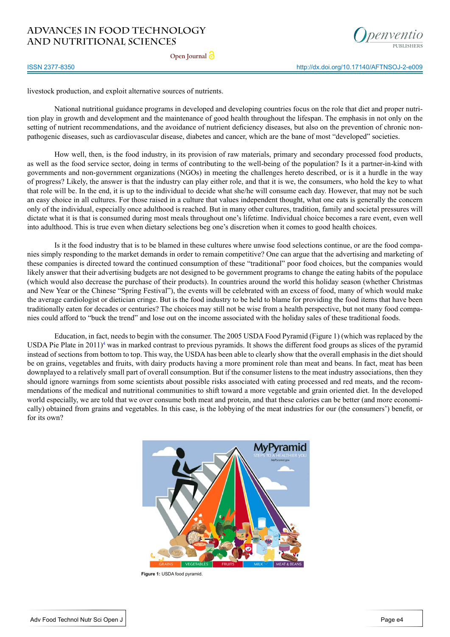**Open Journal**



ISSN 2377-8350

livestock production, and exploit alternative sources of nutrients.

National nutritional guidance programs in developed and developing countries focus on the role that diet and proper nutrition play in growth and development and the maintenance of good health throughout the lifespan. The emphasis in not only on the setting of nutrient recommendations, and the avoidance of nutrient deficiency diseases, but also on the prevention of chronic nonpathogenic diseases, such as cardiovascular disease, diabetes and cancer, which are the bane of most "developed" societies.

How well, then, is the food industry, in its provision of raw materials, primary and secondary processed food products, as well as the food service sector, doing in terms of contributing to the well-being of the population? Is it a partner-in-kind with governments and non-government organizations (NGOs) in meeting the challenges hereto described, or is it a hurdle in the way of progress? Likely, the answer is that the industry can play either role, and that it is we, the consumers, who hold the key to what that role will be. In the end, it is up to the individual to decide what she/he will consume each day. However, that may not be such an easy choice in all cultures. For those raised in a culture that values independent thought, what one eats is generally the concern only of the individual, especially once adulthood is reached. But in many other cultures, tradition, family and societal pressures will dictate what it is that is consumed during most meals throughout one's lifetime. Individual choice becomes a rare event, even well into adulthood. This is true even when dietary selections beg one's discretion when it comes to good health choices.

Is it the food industry that is to be blamed in these cultures where unwise food selections continue, or are the food companies simply responding to the market demands in order to remain competitive? One can argue that the advertising and marketing of these companies is directed toward the continued consumption of these "traditional" poor food choices, but the companies would likely answer that their advertising budgets are not designed to be government programs to change the eating habits of the populace (which would also decrease the purchase of their products). In countries around the world this holiday season (whether Christmas and New Year or the Chinese "Spring Festival"), the events will be celebrated with an excess of food, many of which would make the average cardiologist or dietician cringe. But is the food industry to be held to blame for providing the food items that have been traditionally eaten for decades or centuries? The choices may still not be wise from a health perspective, but not many food companies could afford to "buck the trend" and lose out on the income associated with the holiday sales of these traditional foods.

Education, in fact, needs to begin with the consumer. The 2005 USDA Food Pyramid (Figure 1) (which was replaced by the USDA Pie Plate in  $2011$ <sup>4</sup> was in marked contrast to previous pyramids. It shows the different food groups as slices of the pyramid instead of sections from bottom to top. This way, the USDA has been able to clearly show that the overall emphasis in the diet should be on grains, vegetables and fruits, with dairy products having a more prominent role than meat and beans. In fact, meat has been downplayed to a relatively small part of overall consumption. But if the consumer listens to the meat industry associations, then they should ignore warnings from some scientists about possible risks associated with eating processed and red meats, and the recommendations of the medical and nutritional communities to shift toward a more vegetable and grain oriented diet. In the developed world especially, we are told that we over consume both meat and protein, and that these calories can be better (and more economically) obtained from grains and vegetables. In this case, is the lobbying of the meat industries for our (the consumers') benefit, or for its own?



**Figure 1:** USDA food pyramid.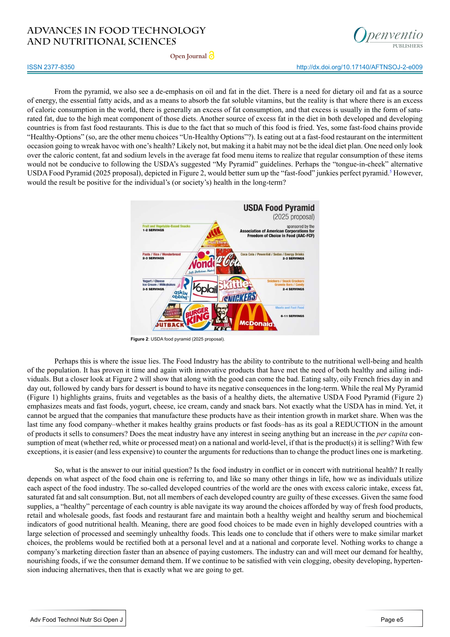

http://dx.doi.org/10.17140/AFTNSOJ-2-e009

**Open Journal**

#### ISSN 2377-8350

From the pyramid, we also see a de-emphasis on oil and fat in the diet. There is a need for dietary oil and fat as a source of energy, the essential fatty acids, and as a means to absorb the fat soluble vitamins, but the reality is that where there is an excess of caloric consumption in the world, there is generally an excess of fat consumption, and that excess is usually in the form of saturated fat, due to the high meat component of those diets. Another source of excess fat in the diet in both developed and developing countries is from fast food restaurants. This is due to the fact that so much of this food is fried. Yes, some fast-food chains provide "Healthy-Options" (so, are the other menu choices "Un-Healthy Options"?). Is eating out at a fast-food restaurant on the intermittent occasion going to wreak havoc with one's health? Likely not, but making it a habit may not be the ideal diet plan. One need only look over the caloric content, fat and sodium levels in the average fat food menu items to realize that regular consumption of these items would not be conducive to following the USDA's suggested "My Pyramid" guidelines. Perhaps the "tongue-in-cheek" alternative USDA Food Pyramid (202[5](#page-3-4) proposal), depicted in Figure 2, would better sum up the "fast-food" junkies perfect pyramid.<sup>5</sup> However, would the result be positive for the individual's (or society's) health in the long-term?



**Figure 2**: USDA food pyramid (2025 proposal).

Perhaps this is where the issue lies. The Food Industry has the ability to contribute to the nutritional well-being and health of the population. It has proven it time and again with innovative products that have met the need of both healthy and ailing individuals. But a closer look at Figure 2 will show that along with the good can come the bad. Eating salty, oily French fries day in and day out, followed by candy bars for dessert is bound to have its negative consequences in the long-term. While the real My Pyramid (Figure 1) highlights grains, fruits and vegetables as the basis of a healthy diets, the alternative USDA Food Pyramid (Figure 2) emphasizes meats and fast foods, yogurt, cheese, ice cream, candy and snack bars. Not exactly what the USDA has in mind. Yet, it cannot be argued that the companies that manufacture these products have as their intention growth in market share. When was the last time any food company–whether it makes healthy grains products or fast foods–has as its goal a REDUCTION in the amount of products it sells to consumers? Does the meat industry have any interest in seeing anything but an increase in the *per capita* consumption of meat (whether red, white or processed meat) on a national and world-level, if that is the product(s) it is selling? With few exceptions, it is easier (and less expensive) to counter the arguments for reductions than to change the product lines one is marketing.

So, what is the answer to our initial question? Is the food industry in conflict or in concert with nutritional health? It really depends on what aspect of the food chain one is referring to, and like so many other things in life, how we as individuals utilize each aspect of the food industry. The so-called developed countries of the world are the ones with excess caloric intake, excess fat, saturated fat and salt consumption. But, not all members of each developed country are guilty of these excesses. Given the same food supplies, a "healthy" percentage of each country is able navigate its way around the choices afforded by way of fresh food products, retail and wholesale goods, fast foods and restaurant fare and maintain both a healthy weight and healthy serum and biochemical indicators of good nutritional health. Meaning, there are good food choices to be made even in highly developed countries with a large selection of processed and seemingly unhealthy foods. This leads one to conclude that if others were to make similar market choices, the problems would be rectified both at a personal level and at a national and corporate level. Nothing works to change a company's marketing direction faster than an absence of paying customers. The industry can and will meet our demand for healthy, nourishing foods, if we the consumer demand them. If we continue to be satisfied with vein clogging, obesity developing, hypertension inducing alternatives, then that is exactly what we are going to get.